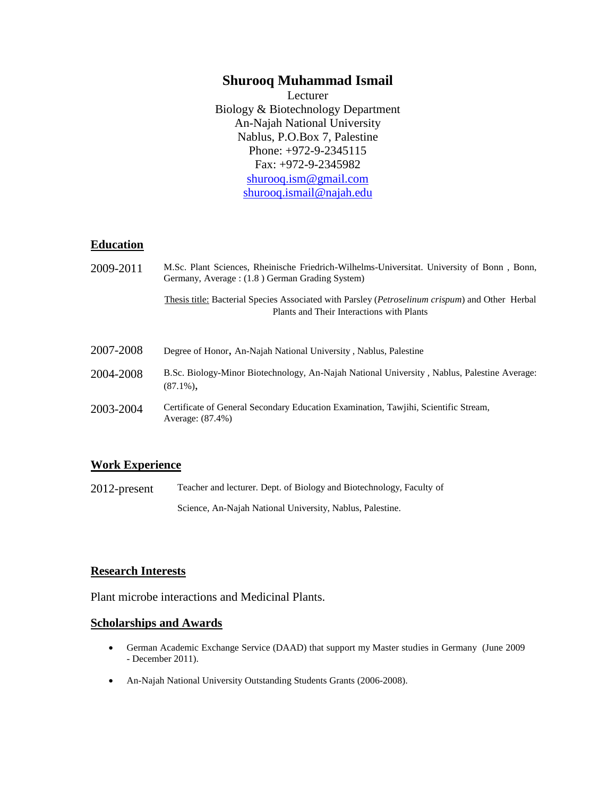# **Shurooq Muhammad Ismail**

Lecturer Biology & Biotechnology Department An-Najah National University Nablus, P.O.Box 7, Palestine Phone: +972-9-2345115 Fax: +972-9-2345982 [shurooq.ism@gmail.com](mailto:shurooq.ism@gmail.com) [shurooq.ismail@najah.edu](mailto:shurooq.ismail@najah.edu)

#### **Education**

| 2009-2011 | M.Sc. Plant Sciences, Rheinische Friedrich-Wilhelms-Universitat. University of Bonn, Bonn,<br>Germany, Average: (1.8) German Grading System)          |
|-----------|-------------------------------------------------------------------------------------------------------------------------------------------------------|
|           | Thesis title: Bacterial Species Associated with Parsley ( <i>Petroselinum crispum</i> ) and Other Herbal<br>Plants and Their Interactions with Plants |
| 2007-2008 | Degree of Honor, An-Najah National University, Nablus, Palestine                                                                                      |
| 2004-2008 | B.Sc. Biology-Minor Biotechnology, An-Najah National University, Nablus, Palestine Average:<br>$(87.1\%)$                                             |
| 2003-2004 | Certificate of General Secondary Education Examination, Tawjihi, Scientific Stream,<br>Average: (87.4%)                                               |

#### **Work Experience**

2012-present Teacher and lecturer. Dept. of Biology and Biotechnology, Faculty of Science, An-Najah National University, Nablus, Palestine.

#### **Research Interests**

Plant microbe interactions and Medicinal Plants.

#### **Scholarships and Awards**

- German Academic Exchange Service (DAAD) that support my Master studies in Germany (June 2009 - December 2011).
- An-Najah National University Outstanding Students Grants (2006-2008).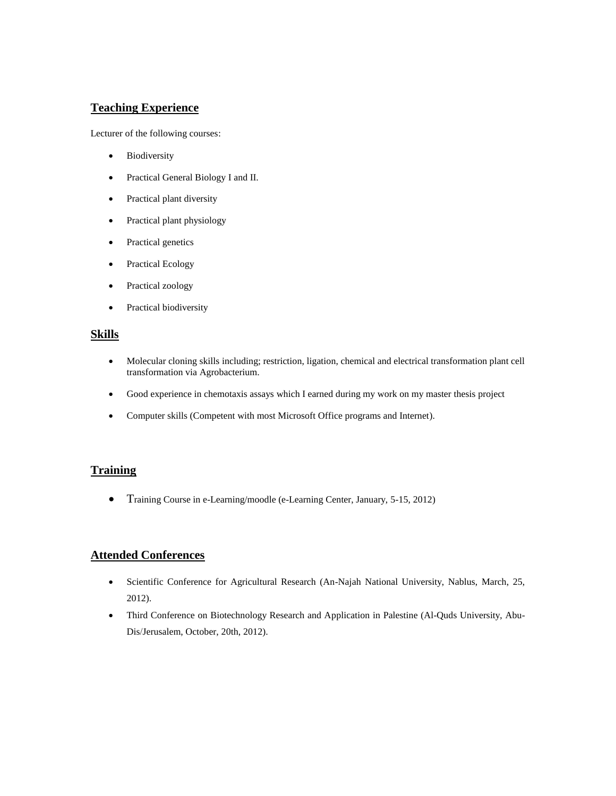# **Teaching Experience**

Lecturer of the following courses:

- Biodiversity
- Practical General Biology I and II.
- Practical plant diversity
- Practical plant physiology
- Practical genetics
- Practical Ecology
- Practical zoology
- Practical biodiversity

# **Skills**

- Molecular cloning skills including; restriction, ligation, chemical and electrical transformation plant cell transformation via Agrobacterium.
- Good experience in chemotaxis assays which I earned during my work on my master thesis project
- Computer skills (Competent with most Microsoft Office programs and Internet).

## **Training**

Training Course in e-Learning/moodle (e-Learning Center, January, 5-15, 2012)

## **Attended Conferences**

- Scientific Conference for Agricultural Research (An-Najah National University, Nablus, March, 25, 2012).
- Third Conference on Biotechnology Research and Application in Palestine (Al-Quds University, Abu-Dis/Jerusalem, October, 20th, 2012).